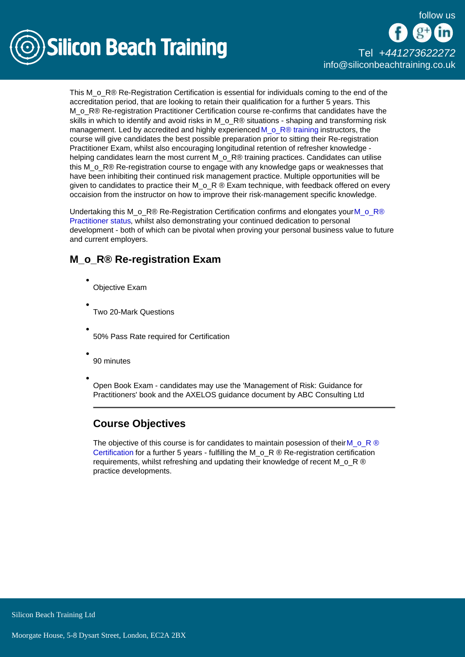

# [Tel +44](tel:+441273622272)1273622272 [info@siliconbeachtraining.co.uk](/var/www/html/siliconbeachtraining.co.uk/public/mailTo:info@siliconbeachtraining.co.uk)

This M o R® Re-Registration Certification is essential for individuals coming to the end of the accreditation period, that are looking to retain their qualification for a further 5 years. This M\_o\_R® Re-registration Practitioner Certification course re-confirms that candidates have the skills in which to identify and avoid risks in M\_o\_R® situations - shaping and transforming risk management. Led by accredited and highly experienced M  $\circ$  R® training instructors, the course will give candidates the best possible preparation prior to sitting their Re-registration Practitioner Exam, whilst also encouraging longitudinal retention of refresher knowledge helping candidates learn the most current M\_o\_R® training practices. Candidates can utilise this M<sub>o</sub> R® Re-registration course to engage with any knowledge gaps or weaknesses that have been inhibiting their continued risk management practice. Multiple opportunities will be given to candidates to practice their M  $\circ$  R ® Exam technique, with feedback offered on every occaision from the instructor on how to improve their risk-management specific knowledge.

Undertaking this [M\\_o\\_R®](/mor-training/mor-practitioner-training) Re-Registration Certification confirms and elongates your M\_o\_R® [Practitioner status](/mor-training/mor-practitioner-training), whilst also demonstrating your continued dedication to personal development - both of which can be pivotal when proving your personal business value to future and current employers.

# M\_o\_R® Re-registration Exam

- Objective Exam
- Two 20-Mark Questions
- 50% Pass Rate required for Certification
- 90 minutes
- Open Book Exam candidates may use the 'Management of Risk: Guidance for Practitioners' book and the AXELOS guidance document by ABC Consulting Ltd

# Course Objectives

The objective of this course is for candidates to maintain posession of their M  $\circ$  R ® [Certification](/mor-training) for a further 5 years - fulfilling the M  $\circ$  R ® Re-registration certification requirements, whilst refreshing and updating their knowledge of recent M  $\circ$  R  $\circledR$ practice developments.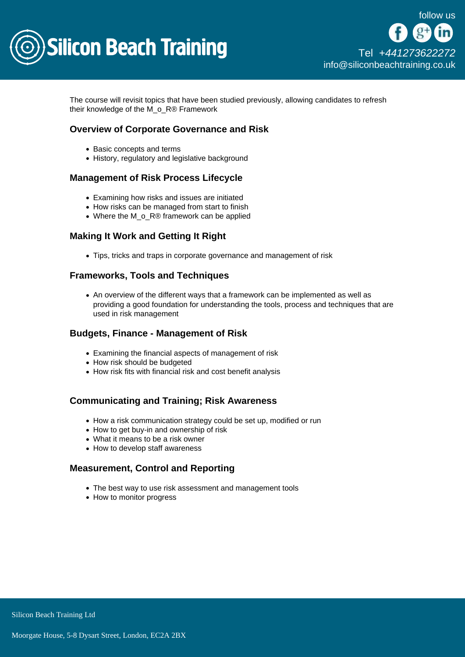

The course will revisit topics that have been studied previously, allowing candidates to refresh their knowledge of the M\_o\_R® Framework

## Overview of Corporate Governance and Risk

- Basic concepts and terms
- History, regulatory and legislative background

### Management of Risk Process Lifecycle

- Examining how risks and issues are initiated
- How risks can be managed from start to finish
- Where the M\_o\_R® framework can be applied

## Making It Work and Getting It Right

Tips, tricks and traps in corporate governance and management of risk

### Frameworks, Tools and Techniques

An overview of the different ways that a framework can be implemented as well as providing a good foundation for understanding the tools, process and techniques that are used in risk management

#### Budgets, Finance - Management of Risk

- Examining the financial aspects of management of risk
- How risk should be budgeted
- How risk fits with financial risk and cost benefit analysis

#### Communicating and Training; Risk Awareness

- How a risk communication strategy could be set up, modified or run
- How to get buy-in and ownership of risk
- What it means to be a risk owner
- How to develop staff awareness

#### Measurement, Control and Reporting

- The best way to use risk assessment and management tools
- How to monitor progress